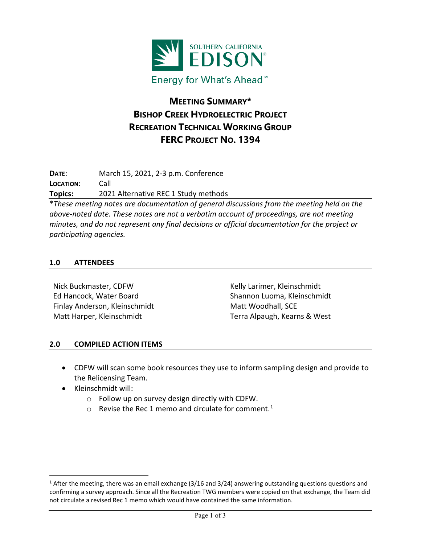

## **MEETING SUMMARY\* BISHOP CREEK HYDROELECTRIC PROJECT RECREATION TECHNICAL WORKING GROUP FERC PROJECT NO. 1394**

**DATE**: **LOCATION**: **Topics:** March 15, 2021, 2-3 p.m. Conference Call 2021 Alternative REC 1 Study methods

\**These meeting notes are documentation of general discussions from the meeting held on the above-noted date. These notes are not a verbatim account of proceedings, are not meeting minutes, and do not represent any final decisions or official documentation for the project or participating agencies.*

## **1.0 ATTENDEES**

Nick Buckmaster, CDFW Kelly Larimer, Kleinschmidt Finlay Anderson, Kleinschmidt Matt Woodhall, SCE

Ed Hancock, Water Board Shannon Luoma, Kleinschmidt Matt Harper, Kleinschmidt Terra Alpaugh, Kearns & West

## **2.0 COMPILED ACTION ITEMS**

- CDFW will scan some book resources they use to inform sampling design and provide to the Relicensing Team.
- Kleinschmidt will:
	- o Follow up on survey design directly with CDFW.
	- $\circ$  Revise the Rec [1](#page-0-0) memo and circulate for comment.<sup>1</sup>

<span id="page-0-0"></span><sup>1</sup> After the meeting, there was an email exchange (3/16 and 3/24) answering outstanding questions questions and confirming a survey approach. Since all the Recreation TWG members were copied on that exchange, the Team did not circulate a revised Rec 1 memo which would have contained the same information.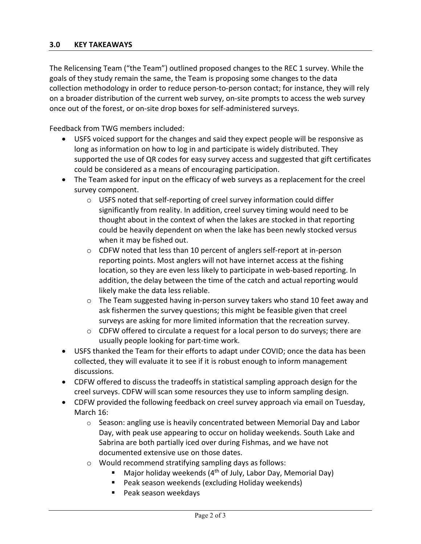## **3.0 KEY TAKEAWAYS**

The Relicensing Team ("the Team") outlined proposed changes to the REC 1 survey. While the goals of they study remain the same, the Team is proposing some changes to the data collection methodology in order to reduce person-to-person contact; for instance, they will rely on a broader distribution of the current web survey, on-site prompts to access the web survey once out of the forest, or on-site drop boxes for self-administered surveys.

Feedback from TWG members included:

- USFS voiced support for the changes and said they expect people will be responsive as long as information on how to log in and participate is widely distributed. They supported the use of QR codes for easy survey access and suggested that gift certificates could be considered as a means of encouraging participation.
- The Team asked for input on the efficacy of web surveys as a replacement for the creel survey component.
	- o USFS noted that self-reporting of creel survey information could differ significantly from reality. In addition, creel survey timing would need to be thought about in the context of when the lakes are stocked in that reporting could be heavily dependent on when the lake has been newly stocked versus when it may be fished out.
	- o CDFW noted that less than 10 percent of anglers self-report at in-person reporting points. Most anglers will not have internet access at the fishing location, so they are even less likely to participate in web-based reporting. In addition, the delay between the time of the catch and actual reporting would likely make the data less reliable.
	- $\circ$  The Team suggested having in-person survey takers who stand 10 feet away and ask fishermen the survey questions; this might be feasible given that creel surveys are asking for more limited information that the recreation survey.
	- $\circ$  CDFW offered to circulate a request for a local person to do surveys; there are usually people looking for part-time work.
- USFS thanked the Team for their efforts to adapt under COVID; once the data has been collected, they will evaluate it to see if it is robust enough to inform management discussions.
- CDFW offered to discuss the tradeoffs in statistical sampling approach design for the creel surveys. CDFW will scan some resources they use to inform sampling design.
- CDFW provided the following feedback on creel survey approach via email on Tuesday, March 16:
	- $\circ$  Season: angling use is heavily concentrated between Memorial Day and Labor Day, with peak use appearing to occur on holiday weekends. South Lake and Sabrina are both partially iced over during Fishmas, and we have not documented extensive use on those dates.
	- o Would recommend stratifying sampling days as follows:
		- Major holiday weekends (4th of July, Labor Day, Memorial Day)
		- **Peak season weekends (excluding Holiday weekends)**
		- Peak season weekdays